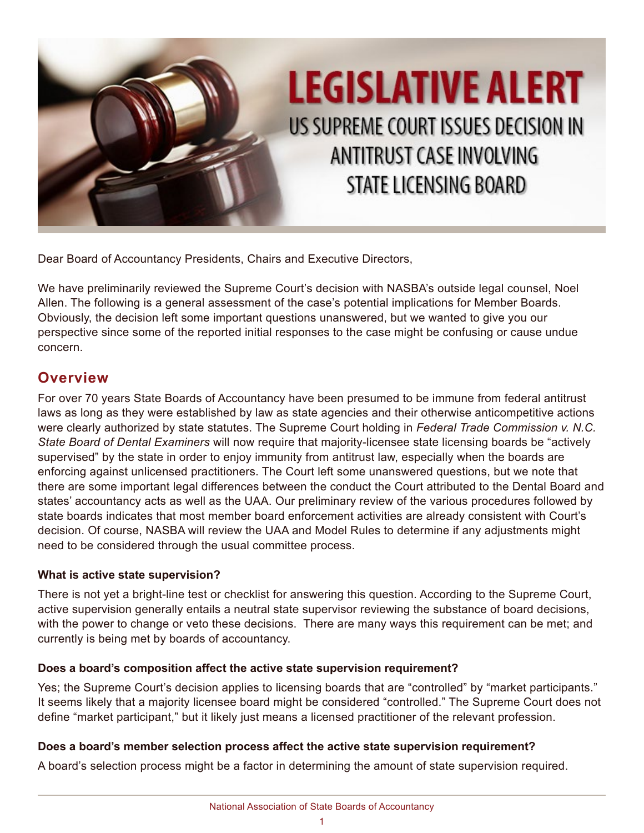

Dear Board of Accountancy Presidents, Chairs and Executive Directors,

We have preliminarily reviewed the Supreme Court's decision with NASBA's outside legal counsel, Noel Allen. The following is a general assessment of the case's potential implications for Member Boards. Obviously, the decision left some important questions unanswered, but we wanted to give you our perspective since some of the reported initial responses to the case might be confusing or cause undue concern.

### **Overview**

For over 70 years State Boards of Accountancy have been presumed to be immune from federal antitrust laws as long as they were established by law as state agencies and their otherwise anticompetitive actions were clearly authorized by state statutes. The Supreme Court holding in *Federal Trade Commission v. N.C. State Board of Dental Examiners* will now require that majority-licensee state licensing boards be "actively supervised" by the state in order to enjoy immunity from antitrust law, especially when the boards are enforcing against unlicensed practitioners. The Court left some unanswered questions, but we note that there are some important legal differences between the conduct the Court attributed to the Dental Board and states' accountancy acts as well as the UAA. Our preliminary review of the various procedures followed by state boards indicates that most member board enforcement activities are already consistent with Court's decision. Of course, NASBA will review the UAA and Model Rules to determine if any adjustments might need to be considered through the usual committee process.

#### **What is active state supervision?**

There is not yet a bright-line test or checklist for answering this question. According to the Supreme Court, active supervision generally entails a neutral state supervisor reviewing the substance of board decisions, with the power to change or veto these decisions. There are many ways this requirement can be met; and currently is being met by boards of accountancy.

#### **Does a board's composition affect the active state supervision requirement?**

Yes; the Supreme Court's decision applies to licensing boards that are "controlled" by "market participants." It seems likely that a majority licensee board might be considered "controlled." The Supreme Court does not define "market participant," but it likely just means a licensed practitioner of the relevant profession.

#### **Does a board's member selection process affect the active state supervision requirement?**

A board's selection process might be a factor in determining the amount of state supervision required.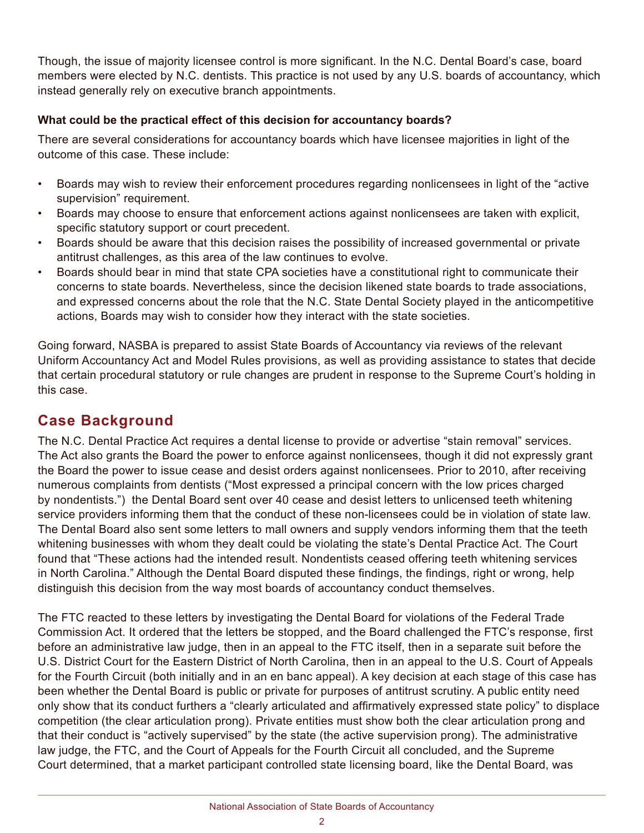Though, the issue of majority licensee control is more significant. In the N.C. Dental Board's case, board members were elected by N.C. dentists. This practice is not used by any U.S. boards of accountancy, which instead generally rely on executive branch appointments.

#### **What could be the practical effect of this decision for accountancy boards?**

There are several considerations for accountancy boards which have licensee majorities in light of the outcome of this case. These include:

- Boards may wish to review their enforcement procedures regarding nonlicensees in light of the "active supervision" requirement.
- Boards may choose to ensure that enforcement actions against nonlicensees are taken with explicit, specific statutory support or court precedent.
- Boards should be aware that this decision raises the possibility of increased governmental or private antitrust challenges, as this area of the law continues to evolve.
- Boards should bear in mind that state CPA societies have a constitutional right to communicate their concerns to state boards. Nevertheless, since the decision likened state boards to trade associations, and expressed concerns about the role that the N.C. State Dental Society played in the anticompetitive actions, Boards may wish to consider how they interact with the state societies.

Going forward, NASBA is prepared to assist State Boards of Accountancy via reviews of the relevant Uniform Accountancy Act and Model Rules provisions, as well as providing assistance to states that decide that certain procedural statutory or rule changes are prudent in response to the Supreme Court's holding in this case.

## **Case Background**

The N.C. Dental Practice Act requires a dental license to provide or advertise "stain removal" services. The Act also grants the Board the power to enforce against nonlicensees, though it did not expressly grant the Board the power to issue cease and desist orders against nonlicensees. Prior to 2010, after receiving numerous complaints from dentists ("Most expressed a principal concern with the low prices charged by nondentists.") the Dental Board sent over 40 cease and desist letters to unlicensed teeth whitening service providers informing them that the conduct of these non-licensees could be in violation of state law. The Dental Board also sent some letters to mall owners and supply vendors informing them that the teeth whitening businesses with whom they dealt could be violating the state's Dental Practice Act. The Court found that "These actions had the intended result. Nondentists ceased offering teeth whitening services in North Carolina." Although the Dental Board disputed these findings, the findings, right or wrong, help distinguish this decision from the way most boards of accountancy conduct themselves.

The FTC reacted to these letters by investigating the Dental Board for violations of the Federal Trade Commission Act. It ordered that the letters be stopped, and the Board challenged the FTC's response, first before an administrative law judge, then in an appeal to the FTC itself, then in a separate suit before the U.S. District Court for the Eastern District of North Carolina, then in an appeal to the U.S. Court of Appeals for the Fourth Circuit (both initially and in an en banc appeal). A key decision at each stage of this case has been whether the Dental Board is public or private for purposes of antitrust scrutiny. A public entity need only show that its conduct furthers a "clearly articulated and affirmatively expressed state policy" to displace competition (the clear articulation prong). Private entities must show both the clear articulation prong and that their conduct is "actively supervised" by the state (the active supervision prong). The administrative law judge, the FTC, and the Court of Appeals for the Fourth Circuit all concluded, and the Supreme Court determined, that a market participant controlled state licensing board, like the Dental Board, was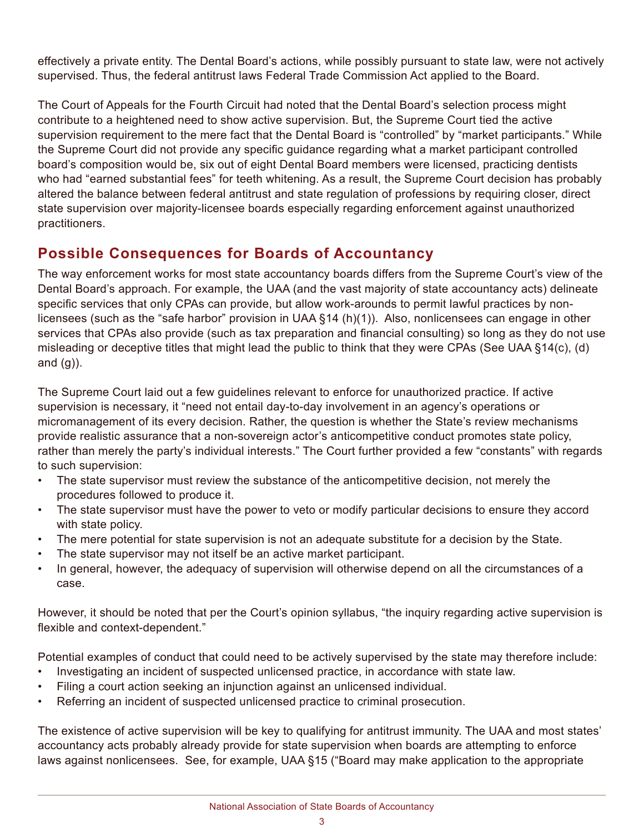effectively a private entity. The Dental Board's actions, while possibly pursuant to state law, were not actively supervised. Thus, the federal antitrust laws Federal Trade Commission Act applied to the Board.

The Court of Appeals for the Fourth Circuit had noted that the Dental Board's selection process might contribute to a heightened need to show active supervision. But, the Supreme Court tied the active supervision requirement to the mere fact that the Dental Board is "controlled" by "market participants." While the Supreme Court did not provide any specific guidance regarding what a market participant controlled board's composition would be, six out of eight Dental Board members were licensed, practicing dentists who had "earned substantial fees" for teeth whitening. As a result, the Supreme Court decision has probably altered the balance between federal antitrust and state regulation of professions by requiring closer, direct state supervision over majority-licensee boards especially regarding enforcement against unauthorized practitioners.

# **Possible Consequences for Boards of Accountancy**

The way enforcement works for most state accountancy boards differs from the Supreme Court's view of the Dental Board's approach. For example, the UAA (and the vast majority of state accountancy acts) delineate specific services that only CPAs can provide, but allow work-arounds to permit lawful practices by nonlicensees (such as the "safe harbor" provision in UAA §14 (h)(1)). Also, nonlicensees can engage in other services that CPAs also provide (such as tax preparation and financial consulting) so long as they do not use misleading or deceptive titles that might lead the public to think that they were CPAs (See UAA §14(c), (d) and  $(g)$ ).

The Supreme Court laid out a few guidelines relevant to enforce for unauthorized practice. If active supervision is necessary, it "need not entail day-to-day involvement in an agency's operations or micromanagement of its every decision. Rather, the question is whether the State's review mechanisms provide realistic assurance that a non-sovereign actor's anticompetitive conduct promotes state policy, rather than merely the party's individual interests." The Court further provided a few "constants" with regards to such supervision:

- The state supervisor must review the substance of the anticompetitive decision, not merely the procedures followed to produce it.
- The state supervisor must have the power to veto or modify particular decisions to ensure they accord with state policy.
- The mere potential for state supervision is not an adequate substitute for a decision by the State.
- The state supervisor may not itself be an active market participant.
- In general, however, the adequacy of supervision will otherwise depend on all the circumstances of a case.

However, it should be noted that per the Court's opinion syllabus, "the inquiry regarding active supervision is flexible and context-dependent."

Potential examples of conduct that could need to be actively supervised by the state may therefore include:

- Investigating an incident of suspected unlicensed practice, in accordance with state law.
	- Filing a court action seeking an injunction against an unlicensed individual.
	- Referring an incident of suspected unlicensed practice to criminal prosecution.

The existence of active supervision will be key to qualifying for antitrust immunity. The UAA and most states' accountancy acts probably already provide for state supervision when boards are attempting to enforce laws against nonlicensees. See, for example, UAA §15 ("Board may make application to the appropriate